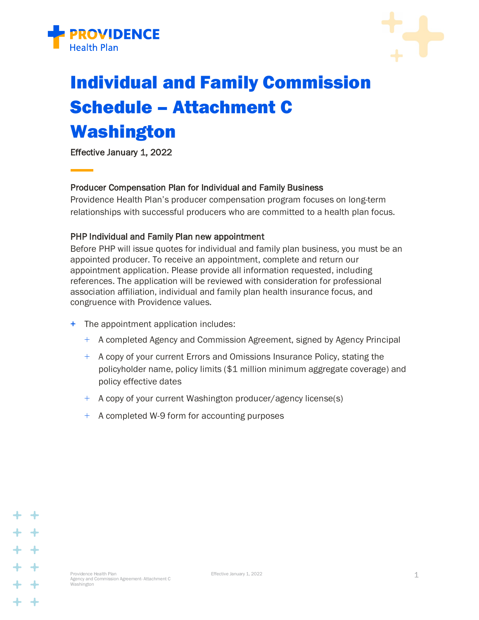



# Individual and Family Commission Schedule – Attachment C Washington

Effective January 1, 2022

## Producer Compensation Plan for Individual and Family Business

Providence Health Plan's producer compensation program focuses on long-term relationships with successful producers who are committed to a health plan focus.

## PHP Individual and Family Plan new appointment

Before PHP will issue quotes for individual and family plan business, you must be an appointed producer. To receive an appointment, complete and return our appointment application. Please provide all information requested, including references. The application will be reviewed with consideration for professional association affiliation, individual and family plan health insurance focus, and congruence with Providence values.

- + The appointment application includes:
	- + A completed Agency and Commission Agreement, signed by Agency Principal
	- + A copy of your current Errors and Omissions Insurance Policy, stating the policyholder name, policy limits (\$1 million minimum aggregate coverage) and policy effective dates
	- + A copy of your current Washington producer/agency license(s)
	- + A completed W-9 form for accounting purposes